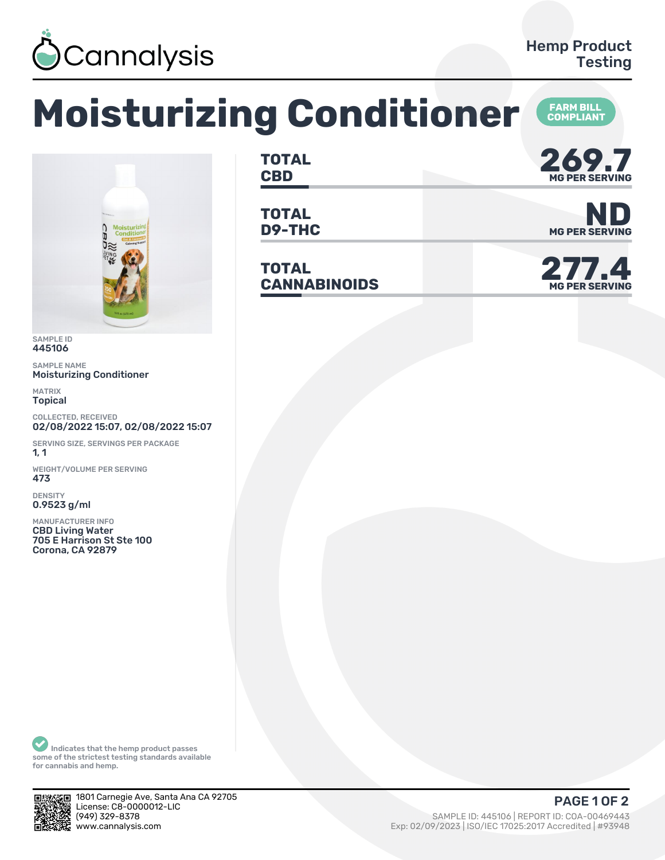

## **Moisturizing Conditioner COMPLIANT**



SAMPLE ID 445106

SAMPLE NAME Moisturizing Conditioner

MATRIX Topical

COLLECTED, RECEIVED 02/08/2022 15:07, 02/08/2022 15:07

SERVING SIZE, SERVINGS PER PACKAGE  $1, 1$ 

WEIGHT/VOLUME PER SERVING 473

DENSITY 0.9523 g/ml

MANUFACTURER INFO CBD Living Water 705 E Harrison St Ste 100 Corona, CA 92879

**TOTAL** TOTAL **269.7** 

**TOTAL**

**TOTAL CANNABINOIDS 277.4**



**D9-THC** MG PER SERVING



Indicates that the hemp product passes some of the strictest testing standards available for cannabis and hemp.



1801 Carnegie Ave, Santa Ana CA 92705 License: C8-0000012-LIC<br>(949) 329-8378

SAMPLE ID: 445106 | REPORT ID: COA-00469443 www.cannalysis.com Exp: 02/09/2023 | ISO/IEC 17025:2017 Accredited | #93948